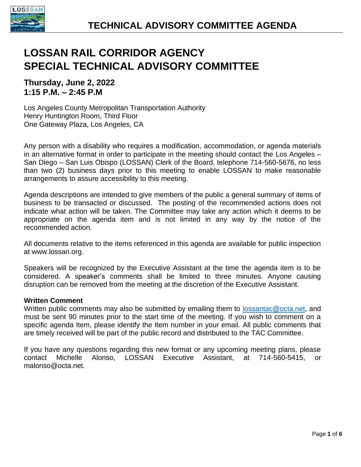

# **LOSSAN RAIL CORRIDOR AGENCY SPECIAL TECHNICAL ADVISORY COMMITTEE**

**Thursday, June 2, 2022 1:15 P.M. – 2:45 P.M**

Los Angeles County Metropolitan Transportation Authority Henry Huntington Room, Third Floor One Gateway Plaza, Los Angeles, CA

Any person with a disability who requires a modification, accommodation, or agenda materials in an alternative format in order to participate in the meeting should contact the Los Angeles – San Diego – San Luis Obispo (LOSSAN) Clerk of the Board, telephone 714-560-5676, no less than two (2) business days prior to this meeting to enable LOSSAN to make reasonable arrangements to assure accessibility to this meeting.

Agenda descriptions are intended to give members of the public a general summary of items of business to be transacted or discussed. The posting of the recommended actions does not indicate what action will be taken. The Committee may take any action which it deems to be appropriate on the agenda item and is not limited in any way by the notice of the recommended action.

All documents relative to the items referenced in this agenda are available for public inspection at www.lossan.org.

Speakers will be recognized by the Executive Assistant at the time the agenda item is to be considered. A speaker's comments shall be limited to three minutes. Anyone causing disruption can be removed from the meeting at the discretion of the Executive Assistant.

#### **Written Comment**

Written public comments may also be submitted by emailing them to [lossantac@octa.net,](mailto:lossantac@octa.net) and must be sent 90 minutes prior to the start time of the meeting. If you wish to comment on a specific agenda Item, please identify the Item number in your email. All public comments that are timely received will be part of the public record and distributed to the TAC Committee.

If you have any questions regarding this new format or any upcoming meeting plans, please contact Michelle Alonso, LOSSAN Executive Assistant, at 714-560-5415, or malonso@octa.net.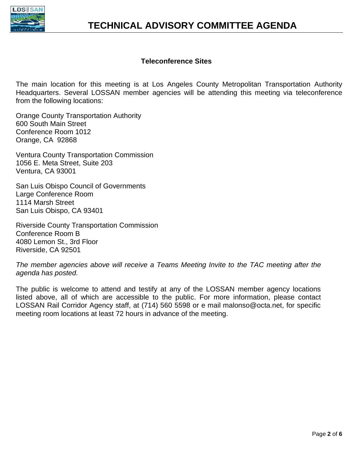

#### **Teleconference Sites**

The main location for this meeting is at Los Angeles County Metropolitan Transportation Authority Headquarters. Several LOSSAN member agencies will be attending this meeting via teleconference from the following locations:

Orange County Transportation Authority 600 South Main Street Conference Room 1012 Orange, CA 92868

Ventura County Transportation Commission 1056 E. Meta Street, Suite 203 Ventura, CA 93001

San Luis Obispo Council of Governments Large Conference Room 1114 Marsh Street San Luis Obispo, CA 93401

Riverside County Transportation Commission Conference Room B 4080 Lemon St., 3rd Floor Riverside, CA 92501

*The member agencies above will receive a Teams Meeting Invite to the TAC meeting after the agenda has posted.* 

The public is welcome to attend and testify at any of the LOSSAN member agency locations listed above, all of which are accessible to the public. For more information, please contact LOSSAN Rail Corridor Agency staff, at (714) 560 5598 or e mail malonso@octa.net, for specific meeting room locations at least 72 hours in advance of the meeting.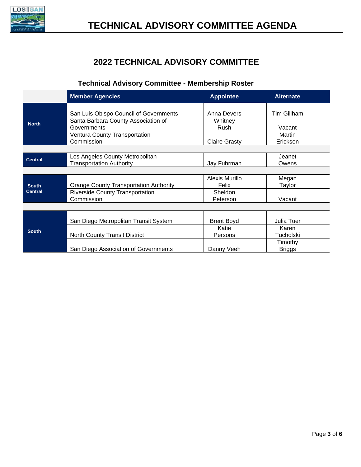

## **2022 TECHNICAL ADVISORY COMMITTEE**

## **Technical Advisory Committee - Membership Roster**

|                | <b>Member Agencies</b>                        | <b>Appointee</b>     | <b>Alternate</b>   |
|----------------|-----------------------------------------------|----------------------|--------------------|
|                |                                               |                      |                    |
| <b>North</b>   | San Luis Obispo Council of Governments        | <b>Anna Devers</b>   | <b>Tim Gillham</b> |
|                | Santa Barbara County Association of           | Whitney              |                    |
|                | Governments                                   | Rush                 | Vacant             |
|                | <b>Ventura County Transportation</b>          |                      | Martin             |
|                | Commission                                    | <b>Claire Grasty</b> | Erickson           |
|                |                                               |                      |                    |
| <b>Central</b> | Los Angeles County Metropolitan               |                      | Jeanet             |
|                | <b>Transportation Authority</b>               | Jay Fuhrman          | Owens              |
|                |                                               |                      |                    |
|                |                                               | Alexis Murillo       | Megan              |
| <b>South</b>   | <b>Orange County Transportation Authority</b> | Felix                | Taylor             |
| <b>Central</b> | <b>Riverside County Transportation</b>        | <b>Sheldon</b>       |                    |
|                | Commission                                    | Peterson             | Vacant             |
|                |                                               |                      |                    |
|                |                                               |                      |                    |
|                | San Diego Metropolitan Transit System         | <b>Brent Boyd</b>    | Julia Tuer         |
| <b>South</b>   |                                               | Katie                | Karen              |
|                | <b>North County Transit District</b>          | Persons              | Tucholski          |
|                |                                               |                      | Timothy            |
|                | San Diego Association of Governments          | Danny Veeh           | <b>Briggs</b>      |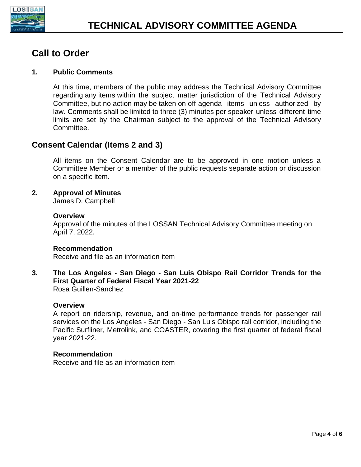

## **Call to Order**

#### **1. Public Comments**

At this time, members of the public may address the Technical Advisory Committee regarding any items within the subject matter jurisdiction of the Technical Advisory Committee, but no action may be taken on off-agenda items unless authorized by law. Comments shall be limited to three (3) minutes per speaker unless different time limits are set by the Chairman subject to the approval of the Technical Advisory Committee.

## **Consent Calendar (Items 2 and 3)**

All items on the Consent Calendar are to be approved in one motion unless a Committee Member or a member of the public requests separate action or discussion on a specific item.

#### **2. Approval of Minutes**

James D. Campbell

#### **Overview**

Approval of the minutes of the LOSSAN Technical Advisory Committee meeting on April 7, 2022.

#### **Recommendation**

Receive and file as an information item

**3. The Los Angeles - San Diego - San Luis Obispo Rail Corridor Trends for the First Quarter of Federal Fiscal Year 2021-22** Rosa Guillen-Sanchez

#### **Overview**

A report on ridership, revenue, and on-time performance trends for passenger rail services on the Los Angeles - San Diego - San Luis Obispo rail corridor, including the Pacific Surfliner, Metrolink, and COASTER, covering the first quarter of federal fiscal year 2021-22.

#### **Recommendation**

Receive and file as an information item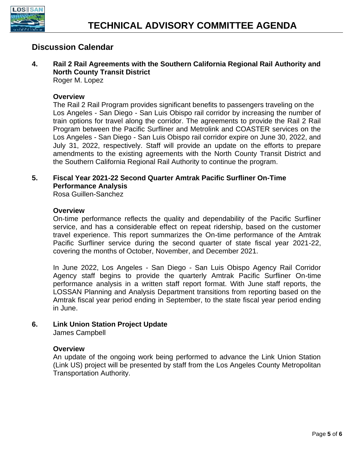

### **Discussion Calendar**

**4. Rail 2 Rail Agreements with the Southern California Regional Rail Authority and North County Transit District**

Roger M. Lopez

#### **Overview**

The Rail 2 Rail Program provides significant benefits to passengers traveling on the Los Angeles - San Diego - San Luis Obispo rail corridor by increasing the number of train options for travel along the corridor. The agreements to provide the Rail 2 Rail Program between the Pacific Surfliner and Metrolink and COASTER services on the Los Angeles - San Diego - San Luis Obispo rail corridor expire on June 30, 2022, and July 31, 2022, respectively. Staff will provide an update on the efforts to prepare amendments to the existing agreements with the North County Transit District and the Southern California Regional Rail Authority to continue the program.

### **5. Fiscal Year 2021-22 Second Quarter Amtrak Pacific Surfliner On-Time Performance Analysis**

Rosa Guillen-Sanchez

#### **Overview**

On-time performance reflects the quality and dependability of the Pacific Surfliner service, and has a considerable effect on repeat ridership, based on the customer travel experience. This report summarizes the On-time performance of the Amtrak Pacific Surfliner service during the second quarter of state fiscal year 2021-22, covering the months of October, November, and December 2021.

In June 2022, Los Angeles - San Diego - San Luis Obispo Agency Rail Corridor Agency staff begins to provide the quarterly Amtrak Pacific Surfliner On-time performance analysis in a written staff report format. With June staff reports, the LOSSAN Planning and Analysis Department transitions from reporting based on the Amtrak fiscal year period ending in September, to the state fiscal year period ending in June.

## **6. Link Union Station Project Update**

James Campbell

#### **Overview**

An update of the ongoing work being performed to advance the Link Union Station (Link US) project will be presented by staff from the Los Angeles County Metropolitan Transportation Authority.